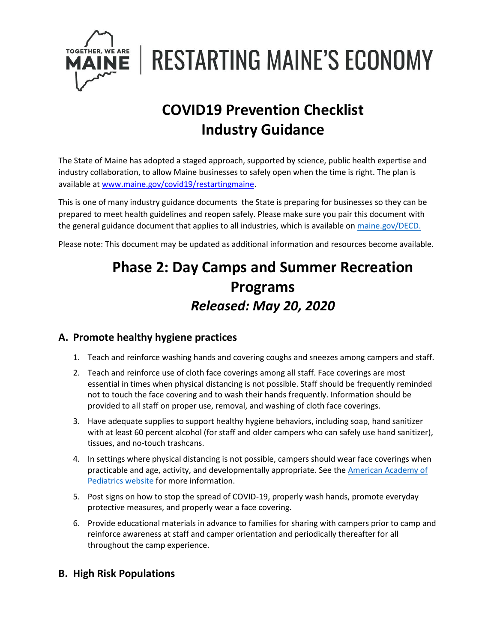

**RESTARTING MAINE'S ECONOMY** 

# **COVID19 Prevention Checklist Industry Guidance**

The State of Maine has adopted a staged approach, supported by science, public health expertise and industry collaboration, to allow Maine businesses to safely open when the time is right. The plan is available a[t www.maine.gov/covid19/restartingmaine.](http://www.maine.gov/covid19/restartingmaine)

This is one of many industry guidance documents the State is preparing for businesses so they can be prepared to meet health guidelines and reopen safely. Please make sure you pair this document with the general guidance document that applies to all industries, which is available on [maine.gov/DECD.](https://www.maine.gov/DECD)

Please note: This document may be updated as additional information and resources become available.

## **Phase 2: Day Camps and Summer Recreation Programs** *Released: May 20, 2020*

#### **A. Promote healthy hygiene practices**

- 1. Teach and reinforce washing hands and covering coughs and sneezes among campers and staff.
- 2. Teach and reinforce use of cloth face coverings among all staff. Face coverings are most essential in times when physical distancing is not possible. Staff should be frequently reminded not to touch the face covering and to wash their hands frequently. Information should be provided to all staff on proper use, removal, and washing of cloth face coverings.
- 3. Have adequate supplies to support healthy hygiene behaviors, including soap, hand sanitizer with at least 60 percent alcohol (for staff and older campers who can safely use hand sanitizer), tissues, and no-touch trashcans.
- 4. In settings where physical distancing is not possible, campers should wear face coverings when practicable and age, activity, and developmentally appropriate. See the American Academy of [Pediatrics website](https://services.aap.org/en/pages/2019-novel-coronavirus-covid-19-infections/masks-and-children-during-covid-19/) for more information.
- 5. Post signs on how to stop the spread of COVID-19, properly wash hands, promote everyday protective measures, and properly wear a face covering.
- 6. Provide educational materials in advance to families for sharing with campers prior to camp and reinforce awareness at staff and camper orientation and periodically thereafter for all throughout the camp experience.

## **B. High Risk Populations**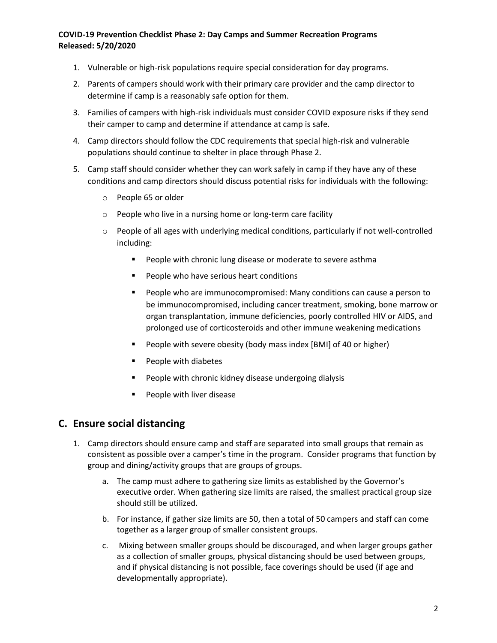- 1. Vulnerable or high-risk populations require special consideration for day programs.
- 2. Parents of campers should work with their primary care provider and the camp director to determine if camp is a reasonably safe option for them.
- 3. Families of campers with high-risk individuals must consider COVID exposure risks if they send their camper to camp and determine if attendance at camp is safe.
- 4. Camp directors should follow the CDC requirements that special high-risk and vulnerable populations should continue to shelter in place through Phase 2.
- 5. Camp staff should consider whether they can work safely in camp if they have any of these conditions and camp directors should discuss potential risks for individuals with the following:
	- o People 65 or older
	- o People who live in a nursing home or long-term care facility
	- $\circ$  People of all ages with underlying medical conditions, particularly if not well-controlled including:
		- People with chronic lung disease or moderate to severe asthma
		- People who have serious heart conditions
		- People who are immunocompromised: Many conditions can cause a person to be immunocompromised, including cancer treatment, smoking, bone marrow or organ transplantation, immune deficiencies, poorly controlled HIV or AIDS, and prolonged use of corticosteroids and other immune weakening medications
		- People with severe obesity (body mass index [BMI] of 40 or higher)
		- People with diabetes
		- People with chronic kidney disease undergoing dialysis
		- People with liver disease

#### **C. Ensure social distancing**

- 1. Camp directors should ensure camp and staff are separated into small groups that remain as consistent as possible over a camper's time in the program. Consider programs that function by group and dining/activity groups that are groups of groups.
	- a. The camp must adhere to gathering size limits as established by the Governor's executive order. When gathering size limits are raised, the smallest practical group size should still be utilized.
	- b. For instance, if gather size limits are 50, then a total of 50 campers and staff can come together as a larger group of smaller consistent groups.
	- c. Mixing between smaller groups should be discouraged, and when larger groups gather as a collection of smaller groups, physical distancing should be used between groups, and if physical distancing is not possible, face coverings should be used (if age and developmentally appropriate).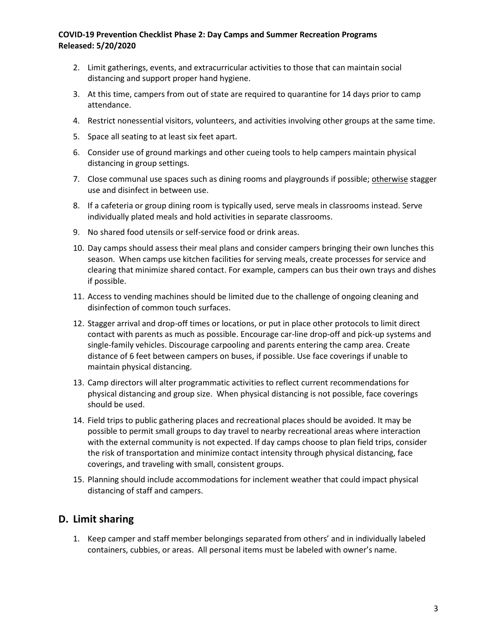- 2. Limit gatherings, events, and extracurricular activities to those that can maintain social distancing and support proper hand hygiene.
- 3. At this time, campers from out of state are required to quarantine for 14 days prior to camp attendance.
- 4. Restrict nonessential visitors, volunteers, and activities involving other groups at the same time.
- 5. Space all seating to at least six feet apart.
- 6. Consider use of ground markings and other cueing tools to help campers maintain physical distancing in group settings.
- 7. Close communal use spaces such as dining rooms and playgrounds if possible; otherwise stagger use and disinfect in between use.
- 8. If a cafeteria or group dining room is typically used, serve meals in classrooms instead. Serve individually plated meals and hold activities in separate classrooms.
- 9. No shared food utensils or self-service food or drink areas.
- 10. Day camps should assess their meal plans and consider campers bringing their own lunches this season. When camps use kitchen facilities for serving meals, create processes for service and clearing that minimize shared contact. For example, campers can bus their own trays and dishes if possible.
- 11. Access to vending machines should be limited due to the challenge of ongoing cleaning and disinfection of common touch surfaces.
- 12. Stagger arrival and drop-off times or locations, or put in place other protocols to limit direct contact with parents as much as possible. Encourage car-line drop-off and pick-up systems and single-family vehicles. Discourage carpooling and parents entering the camp area. Create distance of 6 feet between campers on buses, if possible. Use face coverings if unable to maintain physical distancing.
- 13. Camp directors will alter programmatic activities to reflect current recommendations for physical distancing and group size. When physical distancing is not possible, face coverings should be used.
- 14. Field trips to public gathering places and recreational places should be avoided. It may be possible to permit small groups to day travel to nearby recreational areas where interaction with the external community is not expected. If day camps choose to plan field trips, consider the risk of transportation and minimize contact intensity through physical distancing, face coverings, and traveling with small, consistent groups.
- 15. Planning should include accommodations for inclement weather that could impact physical distancing of staff and campers.

#### **D. Limit sharing**

1. Keep camper and staff member belongings separated from others' and in individually labeled containers, cubbies, or areas. All personal items must be labeled with owner's name.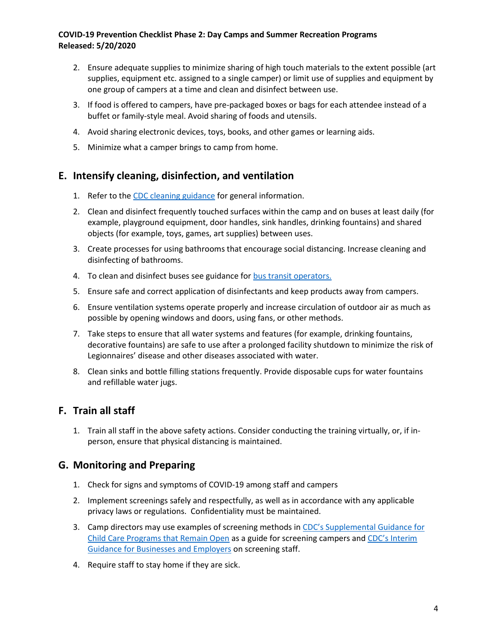- 2. Ensure adequate supplies to minimize sharing of high touch materials to the extent possible (art supplies, equipment etc. assigned to a single camper) or limit use of supplies and equipment by one group of campers at a time and clean and disinfect between use.
- 3. If food is offered to campers, have pre-packaged boxes or bags for each attendee instead of a buffet or family-style meal. Avoid sharing of foods and utensils.
- 4. Avoid sharing electronic devices, toys, books, and other games or learning aids.
- 5. Minimize what a camper brings to camp from home.

#### **E. Intensify cleaning, disinfection, and ventilation**

- 1. Refer to the [CDC cleaning guidance](https://www.cdc.gov/coronavirus/2019-ncov/community/disinfecting-building-facility.html) for general information.
- 2. Clean and disinfect frequently touched surfaces within the camp and on buses at least daily (for example, playground equipment, door handles, sink handles, drinking fountains) and shared objects (for example, toys, games, art supplies) between uses.
- 3. Create processes for using bathrooms that encourage social distancing. Increase cleaning and disinfecting of bathrooms.
- 4. To clean and disinfect buses see guidance for [bus transit operators.](https://www.cdc.gov/coronavirus/2019-ncov/community/organizations/bus-transit-operator.html)
- 5. Ensure safe and correct application of disinfectants and keep products away from campers.
- 6. Ensure ventilation systems operate properly and increase circulation of outdoor air as much as possible by opening windows and doors, using fans, or other methods.
- 7. Take steps to ensure that all water systems and features (for example, drinking fountains, decorative fountains) are safe to use after a prolonged facility shutdown to minimize the risk of Legionnaires' disease and other diseases associated with water.
- 8. Clean sinks and bottle filling stations frequently. Provide disposable cups for water fountains and refillable water jugs.

## **F. Train all staff**

1. Train all staff in the above safety actions. Consider conducting the training virtually, or, if inperson, ensure that physical distancing is maintained.

## **G. Monitoring and Preparing**

- 1. Check for signs and symptoms of COVID-19 among staff and campers
- 2. Implement screenings safely and respectfully, as well as in accordance with any applicable privacy laws or regulations. Confidentiality must be maintained.
- 3. Camp directors may use examples of screening methods in [CDC's Supplemental Guidance for](https://www.cdc.gov/coronavirus/2019-ncov/community/schools-childcare/guidance-for-childcare.html)  [Child Care Programs that Remain Open](https://www.cdc.gov/coronavirus/2019-ncov/community/schools-childcare/guidance-for-childcare.html) as a guide for screening campers and [CDC's Interim](https://www.cdc.gov/coronavirus/2019-ncov/community/guidance-business-response.html)  [Guidance for Businesses and Employers](https://www.cdc.gov/coronavirus/2019-ncov/community/guidance-business-response.html) on screening staff.
- 4. Require staff to stay home if they are sick.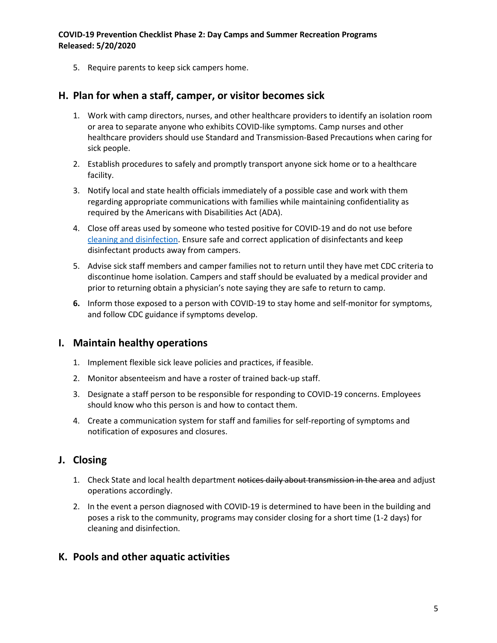5. Require parents to keep sick campers home.

#### **H. Plan for when a staff, camper, or visitor becomes sick**

- 1. Work with camp directors, nurses, and other healthcare providers to identify an isolation room or area to separate anyone who exhibits COVID-like symptoms. Camp nurses and other healthcare providers should use Standard and Transmission-Based Precautions when caring for sick people.
- 2. Establish procedures to safely and promptly transport anyone sick home or to a healthcare facility.
- 3. Notify local and state health officials immediately of a possible case and work with them regarding appropriate communications with families while maintaining confidentiality as required by the Americans with Disabilities Act (ADA).
- 4. Close off areas used by someone who tested positive for COVID-19 and do not use before [cleaning and disinfection.](https://www.cdc.gov/coronavirus/2019-ncov/community/disinfecting-building-facility.html) Ensure safe and correct application of disinfectants and keep disinfectant products away from campers.
- 5. Advise sick staff members and camper families not to return until they have met CDC criteria to discontinue home isolation. Campers and staff should be evaluated by a medical provider and prior to returning obtain a physician's note saying they are safe to return to camp.
- **6.** Inform those exposed to a person with COVID-19 to stay home and self-monitor for symptoms, and follow CDC guidance if symptoms develop.

#### **I. Maintain healthy operations**

- 1. Implement flexible sick leave policies and practices, if feasible.
- 2. Monitor absenteeism and have a roster of trained back-up staff.
- 3. Designate a staff person to be responsible for responding to COVID-19 concerns. Employees should know who this person is and how to contact them.
- 4. Create a communication system for staff and families for self-reporting of symptoms and notification of exposures and closures.

## **J. Closing**

- 1. Check State and local health department notices daily about transmission in the area and adjust operations accordingly.
- 2. In the event a person diagnosed with COVID-19 is determined to have been in the building and poses a risk to the community, programs may consider closing for a short time (1-2 days) for cleaning and disinfection.

#### **K. Pools and other aquatic activities**